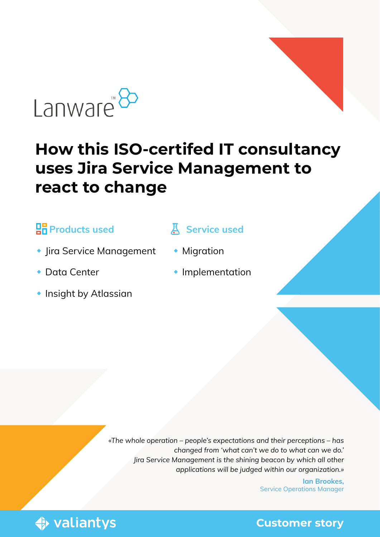

# **How this ISO-certifed IT consultancy uses Jira Service Management to react to change**

#### **<u>PR</u>** Products used

- Jira Service Management
- ◆ Data Center
- **Insight by Atlassian**

#### **Service used**

- **Migration**
- **Implementation**

*«The whole operation – people's expectations and their perceptions – has changed from 'what can't we do to what can we do.' Jira Service Management is the shining beacon by which all other applications will be judged within our organization.»* 

> **Ian Brookes,** Service Operations Manager

**♦ valiantys** 

**Customer story**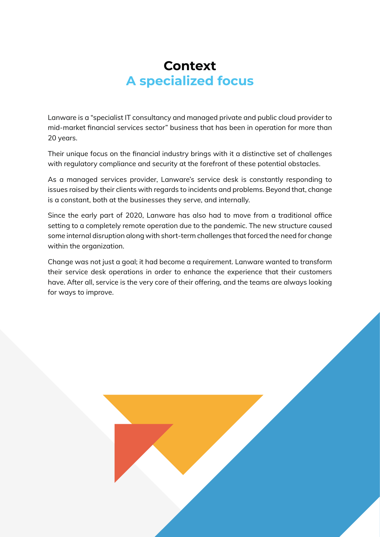### **Context A specialized focus**

Lanware is a "specialist IT consultancy and managed private and public cloud provider to mid-market financial services sector" business that has been in operation for more than 20 years.

Their unique focus on the financial industry brings with it a distinctive set of challenges with regulatory compliance and security at the forefront of these potential obstacles.

As a managed services provider, Lanware's service desk is constantly responding to issues raised by their clients with regards to incidents and problems. Beyond that, change is a constant, both at the businesses they serve, and internally.

Since the early part of 2020, Lanware has also had to move from a traditional office setting to a completely remote operation due to the pandemic. The new structure caused some internal disruption along with short-term challenges that forced the need for change within the organization.

Change was not just a goal; it had become a requirement. Lanware wanted to transform their service desk operations in order to enhance the experience that their customers have. After all, service is the very core of their offering, and the teams are always looking for ways to improve.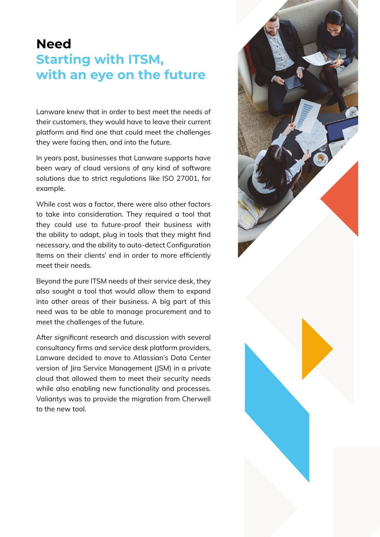### **Need Starting with ITSM, with an eye on the future**

Lanware knew that in order to best meet the needs of their customers, they would have to leave their current platform and find one that could meet the challenges they were facing then, and into the future.

In years past, businesses that Lanware supports have been wary of cloud versions of any kind of software solutions due to strict regulations like ISO 27001, for example.

While cost was a factor, there were also other factors to take into consideration. They required a tool that they could use to future-proof their business with the ability to adapt, plug in tools that they might find necessary, and the ability to auto-detect Configuration Items on their clients' end in order to more efficiently meet their needs.

Beyond the pure ITSM needs of their service desk, they also sought a tool that would allow them to expand into other areas of their business. A big part of this need was to be able to manage procurement and to meet the challenges of the future.

After significant research and discussion with several consultancy firms and service desk platform providers, Lanware decided to move to Atlassian's Data Center version of Jira Service Management (JSM) in a private cloud that allowed them to meet their security needs while also enabling new functionality and processes. Valiantys was to provide the migration from Cherwell to the new tool.

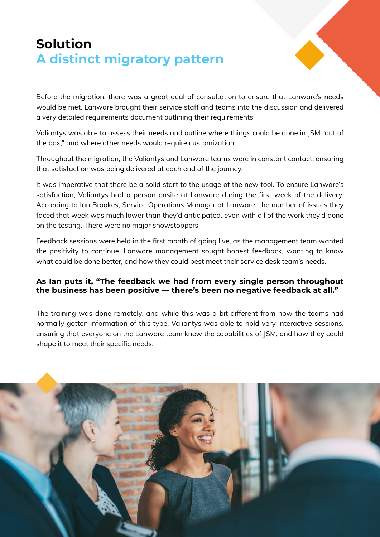# **Solution A distinct migratory pattern**



Before the migration, there was a great deal of consultation to ensure that Lanware's needs would be met. Lanware brought their service staff and teams into the discussion and delivered a very detailed requirements document outlining their requirements.

Valiantys was able to assess their needs and outline where things could be done in JSM "out of the box," and where other needs would require customization.

Throughout the migration, the Valiantys and Lanware teams were in constant contact, ensuring that satisfaction was being delivered at each end of the journey.

It was imperative that there be a solid start to the usage of the new tool. To ensure Lanware's satisfaction, Valiantys had a person onsite at Lanware during the first week of the delivery. According to Ian Brookes, Service Operations Manager at Lanware, the number of issues they faced that week was much lower than they'd anticipated, even with all of the work they'd done on the testing. There were no major showstoppers.

Feedback sessions were held in the first month of going live, as the management team wanted the positivity to continue. Lanware management sought honest feedback, wanting to know what could be done better, and how they could best meet their service desk team's needs.

#### **As Ian puts it, "The feedback we had from every single person throughout the business has been positive — there's been no negative feedback at all."**

The training was done remotely, and while this was a bit different from how the teams had normally gotten information of this type, Valiantys was able to hold very interactive sessions, ensuring that everyone on the Lanware team knew the capabilities of JSM, and how they could shape it to meet their specific needs.

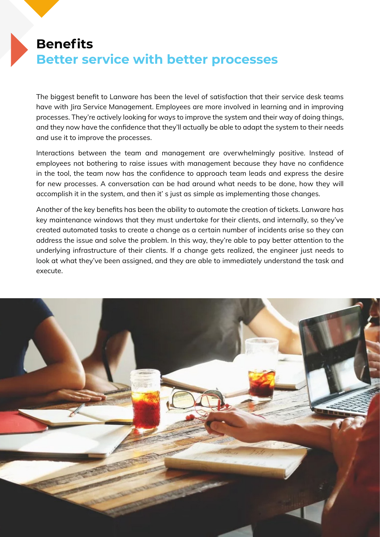## **Benefits Better service with better processes**

The biggest benefit to Lanware has been the level of satisfaction that their service desk teams have with Jira Service Management. Employees are more involved in learning and in improving processes. They're actively looking for ways to improve the system and their way of doing things, and they now have the confidence that they'll actually be able to adapt the system to their needs and use it to improve the processes.

Interactions between the team and management are overwhelmingly positive. Instead of employees not bothering to raise issues with management because they have no confidence in the tool, the team now has the confidence to approach team leads and express the desire for new processes. A conversation can be had around what needs to be done, how they will accomplish it in the system, and then it' s just as simple as implementing those changes.

Another of the key benefits has been the ability to automate the creation of tickets. Lanware has key maintenance windows that they must undertake for their clients, and internally, so they've created automated tasks to create a change as a certain number of incidents arise so they can address the issue and solve the problem. In this way, they're able to pay better attention to the underlying infrastructure of their clients. If a change gets realized, the engineer just needs to look at what they've been assigned, and they are able to immediately understand the task and execute.